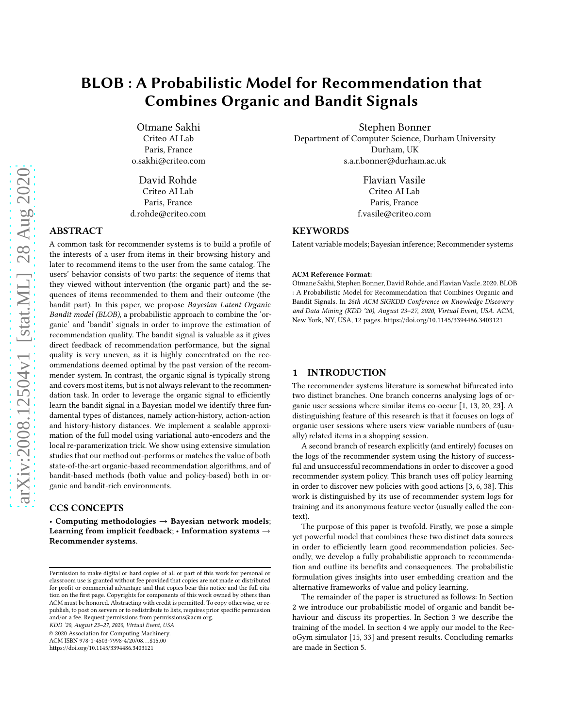# BLOB : A Probabilistic Model for Recommendation that Combines Organic and Bandit Signals

Otmane Sakhi Criteo AI Lab Paris, France o.sakhi@criteo.com

David Rohde Criteo AI Lab Paris, France d.rohde@criteo.com

# ABSTRACT

A common task for recommender systems is to build a profile of the interests of a user from items in their browsing history and later to recommend items to the user from the same catalog. The users' behavior consists of two parts: the sequence of items that they viewed without intervention (the organic part) and the sequences of items recommended to them and their outcome (the bandit part). In this paper, we propose Bayesian Latent Organic Bandit model (BLOB), a probabilistic approach to combine the 'organic' and 'bandit' signals in order to improve the estimation of recommendation quality. The bandit signal is valuable as it gives direct feedback of recommendation performance, but the signal quality is very uneven, as it is highly concentrated on the recommendations deemed optimal by the past version of the recommender system. In contrast, the organic signal is typically strong and covers most items, but is not always relevant to the recommendation task. In order to leverage the organic signal to efficiently learn the bandit signal in a Bayesian model we identify three fundamental types of distances, namely action-history, action-action and history-history distances. We implement a scalable approximation of the full model using variational auto-encoders and the local re-paramerization trick. We show using extensive simulation studies that our method out-performs or matches the value of both state-of-the-art organic-based recommendation algorithms, and of bandit-based methods (both value and policy-based) both in organic and bandit-rich environments.

# CCS CONCEPTS

• Computing methodologies  $\rightarrow$  Bayesian network models; Learning from implicit feedback; • Information systems  $\rightarrow$ Recommender systems.

KDD '20, August 23–27, 2020, Virtual Event, USA

© 2020 Association for Computing Machinery.

ACM ISBN 978-1-4503-7998-4/20/08. . . \$15.00

<https://doi.org/10.1145/3394486.3403121>

Stephen Bonner Department of Computer Science, Durham University Durham, UK s.a.r.bonner@durham.ac.uk

> Flavian Vasile Criteo AI Lab Paris, France f.vasile@criteo.com

# **KEYWORDS**

Latent variable models; Bayesian inference; Recommender systems

#### ACM Reference Format:

Otmane Sakhi, Stephen Bonner, David Rohde, and Flavian Vasile. 2020. BLOB : A Probabilistic Model for Recommendation that Combines Organic and Bandit Signals. In 26th ACM SIGKDD Conference on Knowledge Discovery and Data Mining (KDD '20), August 23–27, 2020, Virtual Event, USA. ACM, New York, NY, USA, [12](#page-11-0) pages.<https://doi.org/10.1145/3394486.3403121>

## 1 INTRODUCTION

The recommender systems literature is somewhat bifurcated into two distinct branches. One branch concerns analysing logs of organic user sessions where similar items co-occur [\[1,](#page-8-0) [13](#page-8-1), [20](#page-8-2), [23\]](#page-8-3). A distinguishing feature of this research is that it focuses on logs of organic user sessions where users view variable numbers of (usually) related items in a shopping session.

A second branch of research explicitly (and entirely) focuses on the logs of the recommender system using the history of successful and unsuccessful recommendations in order to discover a good recommender system policy. This branch uses off policy learning in order to discover new policies with good actions [\[3,](#page-8-4) [6](#page-8-5), [38\]](#page-9-0). This work is distinguished by its use of recommender system logs for training and its anonymous feature vector (usually called the context).

The purpose of this paper is twofold. Firstly, we pose a simple yet powerful model that combines these two distinct data sources in order to efficiently learn good recommendation policies. Secondly, we develop a fully probabilistic approach to recommendation and outline its benefits and consequences. The probabilistic formulation gives insights into user embedding creation and the alternative frameworks of value and policy learning.

The remainder of the paper is structured as follows: In Section 2 we introduce our probabilistic model of organic and bandit behaviour and discuss its properties. In Section 3 we describe the training of the model. In section 4 we apply our model to the RecoGym simulator [\[15,](#page-8-6) [33](#page-8-7)] and present results. Concluding remarks are made in Section 5.

Permission to make digital or hard copies of all or part of this work for personal or classroom use is granted without fee provided that copies are not made or distributed for profit or commercial advantage and that copies bear this notice and the full citation on the first page. Copyrights for components of this work owned by others than ACM must be honored. Abstracting with credit is permitted. To copy otherwise, or republish, to post on servers or to redistribute to lists, requires prior specific permission and/or a fee. Request permissions from permissions@acm.org.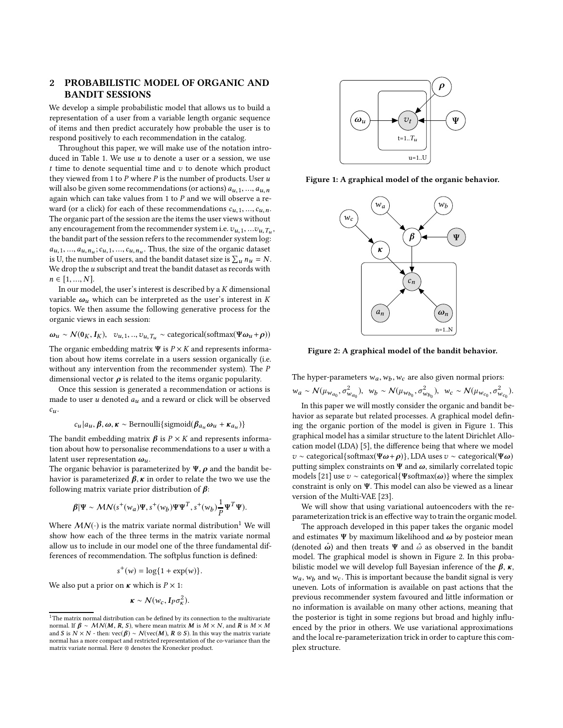# 2 PROBABILISTIC MODEL OF ORGANIC AND BANDIT SESSIONS

We develop a simple probabilistic model that allows us to build a representation of a user from a variable length organic sequence of items and then predict accurately how probable the user is to respond positively to each recommendation in the catalog.

Throughout this paper, we will make use of the notation intro-duced in Table [1.](#page-2-0) We use  $u$  to denote a user or a session, we use  $t$  time to denote sequential time and  $v$  to denote which product they viewed from 1 to  $P$  where  $P$  is the number of products. User  $u$ will also be given some recommendations (or actions)  $a_{u,1},..., a_{u,n}$ again which can take values from 1 to  $P$  and we will observe a reward (or a click) for each of these recommendations  $c_{u,1},...,c_{u,n}$ . The organic part of the session are the items the user views without any encouragement from the recommender system i.e.  $v_{u,1},...v_{u,T_u}$ , the bandit part of the session refers to the recommender system log:  $a_{u,1},..., a_{u,n_u};c_{u,1},...,c_{u,n_u}$ . Thus, the size of the organic dataset is U, the number of users, and the bandit dataset size is  $\sum_u n_u = N$ . We drop the  $u$  subscript and treat the bandit dataset as records with  $n \in [1, ..., N].$ 

In our model, the user's interest is described by a  $K$  dimensional variable  $\omega_u$  which can be interpreted as the user's interest in K topics. We then assume the following generative process for the organic views in each session:

 $\omega_u \sim \mathcal{N}(0_K, I_K), \quad v_{u,1}, \ldots, v_{u,T_u} \sim \text{categorical}(\text{softmax}(\Psi \omega_u + \rho))$ The organic embedding matrix  $\Psi$  is  $P \times K$  and represents informa-

tion about how items correlate in a users session organically (i.e. without any intervention from the recommender system). The P dimensional vector  $\rho$  is related to the items organic popularity.

Once this session is generated a recommendation or actions is made to user  $u$  denoted  $a_u$  and a reward or click will be observed  $c_u$ .

$$
c_u|a_u, \beta, \omega, \kappa \sim \text{Bernoulli}\{\text{sigmoid}(\beta_{a_u}\omega_u + \kappa_{a_u})\}
$$

The bandit embedding matrix  $\beta$  is  $P \times K$  and represents information about how to personalise recommendations to a user  $u$  with a latent user representation  $\omega_u$ .

The organic behavior is parameterized by  $\Psi$ ,  $\rho$  and the bandit behavior is parameterized  $\beta$ ,  $\kappa$  in order to relate the two we use the following matrix variate prior distribution of  $\beta$ :

$$
\boldsymbol{\beta}|\Psi \sim \boldsymbol{M}\boldsymbol{N}(s^+(\boldsymbol{w}_a)\Psi, s^+(\boldsymbol{w}_b)\Psi\Psi^T, s^+(\boldsymbol{w}_b)\frac{1}{P}\Psi^T\Psi).
$$

Where  $MN(\cdot)$  is the matrix variate normal distribution<sup>[1](#page-1-0)</sup> We will show how each of the three terms in the matrix variate normal allow us to include in our model one of the three fundamental differences of recommendation. The softplus function is defined:

$$
s^+(w) = \log\{1 + \exp(w)\}.
$$

We also put a prior on  $\kappa$  which is  $P \times 1$ :

$$
\kappa \sim \mathcal{N}(w_c, I_P \sigma_\kappa^2).
$$

<span id="page-1-1"></span>

<span id="page-1-2"></span>Figure 1: A graphical model of the organic behavior.



Figure 2: A graphical model of the bandit behavior.

The hyper-parameters  $w_a, w_b, w_c$  are also given normal priors:

 $w_a \sim \mathcal{N}(\mu_{w_{a_0}}, \sigma^2_{w_{a_0}}), \ w_b \sim \mathcal{N}(\mu_{w_{b_0}}, \sigma^2_{w_{b_0}}), \ w_c \sim \mathcal{N}(\mu_{w_{c_0}}, \sigma^2_{w_{c_0}}).$ 

In this paper we will mostly consider the organic and bandit behavior as separate but related processes. A graphical model defining the organic portion of the model is given in Figure [1.](#page-1-1) This graphical model has a similar structure to the latent Dirichlet Allocation model (LDA) [\[5](#page-8-8)], the difference being that where we model  $v \sim$  categorical{softmax( $\Psi \omega + \rho$ )}, LDA uses  $v \sim$  categorical( $\Psi \omega$ ) putting simplex constraints on  $\Psi$  and  $\omega$ , similarly correlated topic models [\[21\]](#page-8-9) use  $v \sim$  categorical{ $\Psi$ softmax( $\omega$ )} where the simplex constraint is only on Ψ. This model can also be viewed as a linear version of the Multi-VAE [\[23\]](#page-8-3).

We will show that using variational autoencoders with the reparameterization trick is an effective way to train the organic model.

The approach developed in this paper takes the organic model and estimates  $\Psi$  by maximum likelihood and  $\omega$  by posteior mean (denoted  $\hat{\omega}$ ) and then treats  $\Psi$  and  $\hat{\omega}$  as observed in the bandit model. The graphical model is shown in Figure [2.](#page-1-2) In this probabilistic model we will develop full Bayesian inference of the  $\beta$ ,  $\kappa$ ,  $w_a$ ,  $w_b$  and  $w_c$ . This is important because the bandit signal is very uneven. Lots of information is available on past actions that the previous recommender system favoured and little information or no information is available on many other actions, meaning that the posterior is tight in some regions but broad and highly influenced by the prior in others. We use variational approximations and the local re-parameterization trick in order to capture this complex structure.

<span id="page-1-0"></span> $^{\rm 1}$  The matrix normal distribution can be defined by its connection to the multivariate normal. If  $\beta \sim MN(M, R, S)$ , where mean matrix M is  $M \times N$ , and R is  $M \times M$ and S is  $N \times N$  - then:  $\text{vec}(\beta) \sim \mathcal{N}(\text{vec}(M), R \otimes S)$ . In this way the matrix variate normal has a more compact and restricted representation of the co-variance than the matrix variate normal. Here ⊗ denotes the Kronecker product.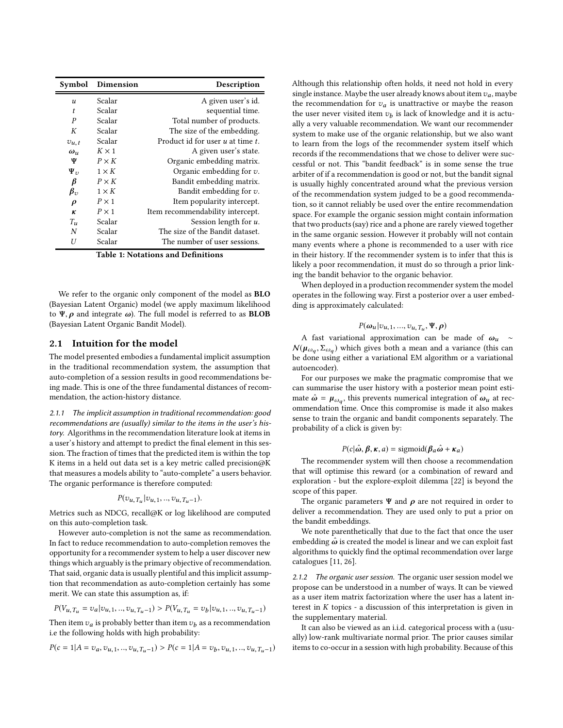<span id="page-2-0"></span>

| Symbol               | Dimension    | Description                           |
|----------------------|--------------|---------------------------------------|
| $\boldsymbol{u}$     | Scalar       | A given user's id.                    |
| $\mathbf{t}$         | Scalar       | sequential time.                      |
| P                    | Scalar       | Total number of products.             |
| К                    | Scalar       | The size of the embedding.            |
| $v_{u,t}$            | Scalar       | Product id for user $u$ at time $t$ . |
| $\omega_u$           | $K \times 1$ | A given user's state.                 |
| Ψ                    | $P \times K$ | Organic embedding matrix.             |
| $\Psi_{\nu}$         | $1 \times K$ | Organic embedding for $v$ .           |
| β                    | $P \times K$ | Bandit embedding matrix.              |
| $\beta_{\nu}$        | $1 \times K$ | Bandit embedding for $v$ .            |
| $\rho$               | $P \times 1$ | Item popularity intercept.            |
| ĸ                    | $P \times 1$ | Item recommendability intercept.      |
| $T_{\boldsymbol{u}}$ | Scalar       | Session length for u.                 |
| N                    | Scalar       | The size of the Bandit dataset.       |
| U                    | Scalar       | The number of user sessions.          |

Table 1: Notations and Definitions

We refer to the organic only component of the model as BLO (Bayesian Latent Organic) model (we apply maximum likelihood to  $\Psi$ ,  $\rho$  and integrate  $\omega$ ). The full model is referred to as **BLOB** (Bayesian Latent Organic Bandit Model).

#### 2.1 Intuition for the model

The model presented embodies a fundamental implicit assumption in the traditional recommendation system, the assumption that auto-completion of a session results in good recommendations being made. This is one of the three fundamental distances of recommendation, the action-history distance.

2.1.1 The implicit assumption in traditional recommendation: good recommendations are (usually) similar to the items in the user's history. Algorithms in the recommendation literature look at items in a user's history and attempt to predict the final element in this session. The fraction of times that the predicted item is within the top K items in a held out data set is a key metric called precision@K that measures a models ability to "auto-complete" a users behavior. The organic performance is therefore computed:

$$
P(v_{u,T_u}|v_{u,1},...,v_{u,T_u-1}).
$$

Metrics such as NDCG, recall@K or log likelihood are computed on this auto-completion task.

However auto-completion is not the same as recommendation. In fact to reduce recommendation to auto-completion removes the opportunity for a recommender system to help a user discover new things which arguably is the primary objective of recommendation. That said, organic data is usually plentiful and this implicit assumption that recommendation as auto-completion certainly has some merit. We can state this assumption as, if:

$$
P(V_{u,T_u}=v_a|v_{u,1},..,v_{u,T_u-1})>P(V_{u,T_u}=v_b|v_{u,1},..,v_{u,T_u-1})
$$

Then item  $v_a$  is probably better than item  $v_b$  as a recommendation i.e the following holds with high probability:

$$
P(c = 1 | A = v_a, v_{u,1}, ..., v_{u,T_u-1}) > P(c = 1 | A = v_b, v_{u,1}, ..., v_{u,T_u-1})
$$

Although this relationship often holds, it need not hold in every single instance. Maybe the user already knows about item  $v_a$ , maybe the recommendation for  $v_a$  is unattractive or maybe the reason the user never visited item  $v_b$  is lack of knowledge and it is actually a very valuable recommendation. We want our recommender system to make use of the organic relationship, but we also want to learn from the logs of the recommender system itself which records if the recommendations that we chose to deliver were successful or not. This "bandit feedback" is in some sense the true arbiter of if a recommendation is good or not, but the bandit signal is usually highly concentrated around what the previous version of the recommendation system judged to be a good recommendation, so it cannot reliably be used over the entire recommendation space. For example the organic session might contain information that two products (say) rice and a phone are rarely viewed together in the same organic session. However it probably will not contain many events where a phone is recommended to a user with rice in their history. If the recommender system is to infer that this is likely a poor recommendation, it must do so through a prior linking the bandit behavior to the organic behavior.

When deployed in a production recommender system the model operates in the following way. First a posterior over a user embedding is approximately calculated:

# $P(\boldsymbol{\omega}_u | v_{u,1}, ..., v_{u,T_u}, \Psi, \boldsymbol{\rho})$

A fast variational approximation can be made of  $\omega_u$  ~  $N(\mu_{\omega_q}, \Sigma_{\omega_q})$  which gives both a mean and a variance (this can be done using either a variational EM algorithm or a variational autoencoder).

For our purposes we make the pragmatic compromise that we can summarise the user history with a posterior mean point estimate  $\hat{\omega} = \mu_{\omega_q}$ , this prevents numerical integration of  $\omega_u$  at recommendation time. Once this compromise is made it also makes sense to train the organic and bandit components separately. The probability of a click is given by:

#### $P(c|\hat{\omega}, \beta, \kappa, a) = \text{sigmoid}(\beta_a \hat{\omega} + \kappa_a)$

The recommender system will then choose a recommendation that will optimise this reward (or a combination of reward and exploration - but the explore-exploit dilemma [\[22](#page-8-10)] is beyond the scope of this paper.

The organic parameters  $\Psi$  and  $\rho$  are not required in order to deliver a recommendation. They are used only to put a prior on the bandit embeddings.

We note parenthetically that due to the fact that once the user embedding  $\hat{\omega}$  is created the model is linear and we can exploit fast algorithms to quickly find the optimal recommendation over large catalogues [\[11](#page-8-11), [26\]](#page-8-12).

2.1.2 The organic user session. The organic user session model we propose can be understood in a number of ways. It can be viewed as a user item matrix factorization where the user has a latent interest in  $K$  topics - a discussion of this interpretation is given in the supplementary material.

It can also be viewed as an i.i.d. categorical process with a (usually) low-rank multivariate normal prior. The prior causes similar items to co-occur in a session with high probability. Because of this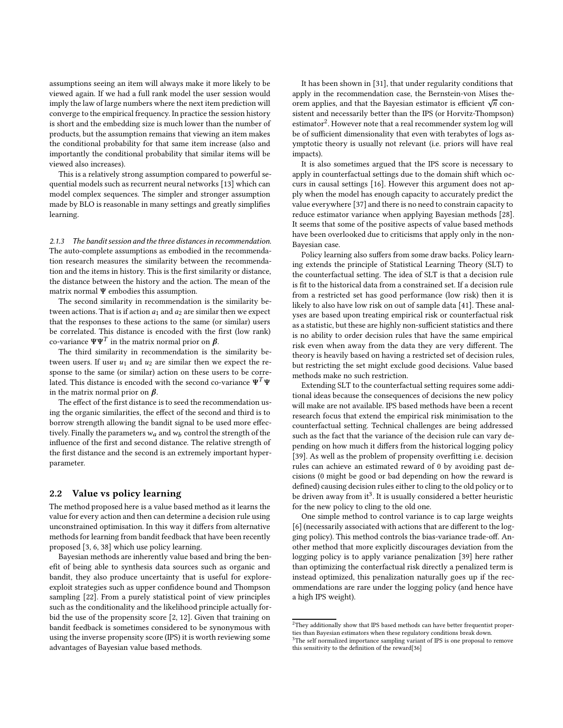assumptions seeing an item will always make it more likely to be viewed again. If we had a full rank model the user session would imply the law of large numbers where the next item prediction will converge to the empirical frequency. In practice the session history is short and the embedding size is much lower than the number of products, but the assumption remains that viewing an item makes the conditional probability for that same item increase (also and importantly the conditional probability that similar items will be viewed also increases).

This is a relatively strong assumption compared to powerful sequential models such as recurrent neural networks [\[13\]](#page-8-1) which can model complex sequences. The simpler and stronger assumption made by BLO is reasonable in many settings and greatly simplifies learning.

2.1.3 The bandit session and the three distances in recommendation. The auto-complete assumptions as embodied in the recommendation research measures the similarity between the recommendation and the items in history. This is the first similarity or distance, the distance between the history and the action. The mean of the matrix normal Ψ embodies this assumption.

The second similarity in recommendation is the similarity between actions. That is if action  $a_1$  and  $a_2$  are similar then we expect that the responses to these actions to the same (or similar) users be correlated. This distance is encoded with the first (low rank) co-variance  $\Psi \Psi^T$  in the matrix normal prior on  ${\pmb \beta}.$ 

The third similarity in recommendation is the similarity between users. If user  $u_1$  and  $u_2$  are similar then we expect the response to the same (or similar) action on these users to be correlated. This distance is encoded with the second co-variance  $\Psi^T\Psi$ in the matrix normal prior on  $\beta$ .

The effect of the first distance is to seed the recommendation using the organic similarities, the effect of the second and third is to borrow strength allowing the bandit signal to be used more effectively. Finally the parameters  $w_a$  and  $w_b$  control the strength of the influence of the first and second distance. The relative strength of the first distance and the second is an extremely important hyperparameter.

#### 2.2 Value vs policy learning

The method proposed here is a value based method as it learns the value for every action and then can determine a decision rule using unconstrained optimisation. In this way it differs from alternative methods for learning from bandit feedback that have been recently proposed [\[3](#page-8-4), [6,](#page-8-5) [38](#page-9-0)] which use policy learning.

Bayesian methods are inherently value based and bring the benefit of being able to synthesis data sources such as organic and bandit, they also produce uncertainty that is useful for exploreexploit strategies such as upper confidence bound and Thompson sampling [\[22\]](#page-8-10). From a purely statistical point of view principles such as the conditionality and the likelihood principle actually forbid the use of the propensity score [\[2](#page-8-13), [12\]](#page-8-14). Given that training on bandit feedback is sometimes considered to be synonymous with using the inverse propensity score (IPS) it is worth reviewing some advantages of Bayesian value based methods.

It has been shown in [\[31](#page-8-15)], that under regularity conditions that apply in the recommendation case, the Bernstein-von Mises theorem applies, and that the Bayesian estimator is efficient  $\sqrt{n}$  consistent and necessarily better than the IPS (or Horvitz-Thompson) estimator<sup>[2](#page-3-0)</sup>. However note that a real recommender system  $log$  will be of sufficient dimensionality that even with terabytes of logs asymptotic theory is usually not relevant (i.e. priors will have real impacts).

It is also sometimes argued that the IPS score is necessary to apply in counterfactual settings due to the domain shift which occurs in causal settings [\[16\]](#page-8-16). However this argument does not apply when the model has enough capacity to accurately predict the value everywhere [\[37\]](#page-9-1) and there is no need to constrain capacity to reduce estimator variance when applying Bayesian methods [\[28\]](#page-8-17). It seems that some of the positive aspects of value based methods have been overlooked due to criticisms that apply only in the non-Bayesian case.

Policy learning also suffers from some draw backs. Policy learning extends the principle of Statistical Learning Theory (SLT) to the counterfactual setting. The idea of SLT is that a decision rule is fit to the historical data from a constrained set. If a decision rule from a restricted set has good performance (low risk) then it is likely to also have low risk on out of sample data [\[41](#page-9-2)]. These analyses are based upon treating empirical risk or counterfactual risk as a statistic, but these are highly non-sufficient statistics and there is no ability to order decision rules that have the same empirical risk even when away from the data they are very different. The theory is heavily based on having a restricted set of decision rules, but restricting the set might exclude good decisions. Value based methods make no such restriction.

Extending SLT to the counterfactual setting requires some additional ideas because the consequences of decisions the new policy will make are not available. IPS based methods have been a recent research focus that extend the empirical risk minimisation to the counterfactual setting. Technical challenges are being addressed such as the fact that the variance of the decision rule can vary depending on how much it differs from the historical logging policy [\[39\]](#page-9-3). As well as the problem of propensity overfitting i.e. decision rules can achieve an estimated reward of 0 by avoiding past decisions (0 might be good or bad depending on how the reward is defined) causing decision rules either to cling to the old policy or to be driven away from it<sup>[3](#page-3-1)</sup>. It is usually considered a better heuristic for the new policy to cling to the old one.

One simple method to control variance is to cap large weights [\[6](#page-8-5)] (necessarily associated with actions that are different to the logging policy). This method controls the bias-variance trade-off. Another method that more explicitly discourages deviation from the logging policy is to apply variance penalization [\[39\]](#page-9-3) here rather than optimizing the conterfactual risk directly a penalized term is instead optimized, this penalization naturally goes up if the recommendations are rare under the logging policy (and hence have a high IPS weight).

 $^2\!$  They additionally show that IPS based methods can have better frequentist properties than Bayesian estimators when these regulatory conditions break down.

<span id="page-3-1"></span><span id="page-3-0"></span><sup>&</sup>lt;sup>3</sup>The self normalized importance sampling variant of IPS is one proposal to remove this sensitivity to the definition of the reward[\[36\]](#page-9-4)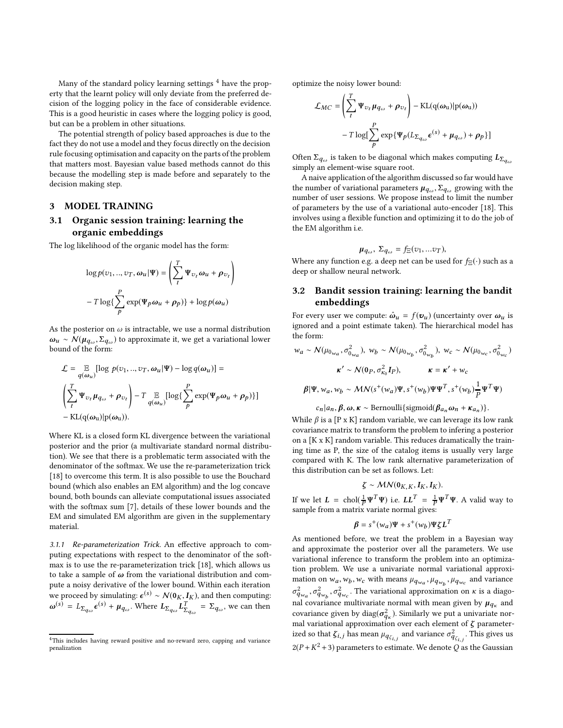Many of the standard policy learning settings  $4$  have the property that the learnt policy will only deviate from the preferred decision of the logging policy in the face of considerable evidence. This is a good heuristic in cases where the logging policy is good, but can be a problem in other situations.

The potential strength of policy based approaches is due to the fact they do not use a model and they focus directly on the decision rule focusing optimisation and capacity on the parts of the problem that matters most. Bayesian value based methods cannot do this because the modelling step is made before and separately to the decision making step.

#### 3 MODEL TRAINING

# 3.1 Organic session training: learning the organic embeddings

The log likelihood of the organic model has the form:

$$
\log p(v_1, ..., v_T, \omega_u | \Psi) = \left(\sum_t^T \Psi_{v_t} \omega_u + \rho_{v_t}\right)
$$

$$
-T \log\left\{\sum_p^P \exp(\Psi_p \omega_u + \rho_p)\right\} + \log p(\omega_u)
$$

As the posterior on  $\omega$  is intractable, we use a normal distribution  $\omega_u \sim \mathcal{N}(\mu_{q_\omega}, \Sigma_{q_\omega})$  to approximate it, we get a variational lower bound of the form:

$$
\mathcal{L} = \mathop{\mathbb{E}}_{q(\omega_u)} [\log p(v_1, ..., v_T, \omega_u | \Psi) - \log q(\omega_u)] =
$$
\n
$$
\left( \sum_t^T \Psi_{v_t} \mu_{q_\omega} + \rho_{v_t} \right) - T \mathop{\mathbb{E}}_{q(\omega_u)} [\log \{ \sum_p^P \exp(\Psi_p \omega_u + \rho_p) \}]
$$
\n
$$
- KL(q(\omega_u) | p(\omega_u)).
$$

Where KL is a closed form KL divergence between the variational posterior and the prior (a multivariate standard normal distribution). We see that there is a problematic term associated with the denominator of the softmax. We use the re-parameterization trick [\[18](#page-8-18)] to overcome this term. It is also possible to use the Bouchard bound (which also enables an EM algorithm) and the log concave bound, both bounds can alleviate computational issues associated with the softmax sum [\[7\]](#page-8-19), details of these lower bounds and the EM and simulated EM algorithm are given in the supplementary material.

3.1.1 Re-parameterization Trick. An effective approach to computing expectations with respect to the denominator of the softmax is to use the re-parameterization trick [\[18\]](#page-8-18), which allows us to take a sample of  $\omega$  from the variational distribution and compute a noisy derivative of the lower bound. Within each iteration we proceed by simulating:  $\epsilon^{(s)} \sim \mathcal{N}(\mathbf{0}_K, \mathbf{I}_K)$ , and then computing:  $\omega^{(s)} = L_{\Sigma_{q_{\omega}}} \epsilon^{(s)} + \mu_{q_{\omega}}$ . Where  $L_{\Sigma_{q_{\omega}}} L_{\Sigma_{q_{\omega}}}^T = \Sigma_{q_{\omega}}$ , we can then

optimize the noisy lower bound:

$$
\mathcal{L}_{MC} = \left(\sum_{t}^{T} \Psi_{v_t} \mu_{q_{\omega}} + \rho_{v_t}\right) - \text{KL}(q(\omega_u)|p(\omega_u))
$$

$$
-T \log[\sum_{p}^{P} \exp{\{\Psi_p(L_{\Sigma_{q_{\omega}}}\epsilon^{(s)} + \mu_{q_{\omega}}) + \rho_p\}}]
$$

Often  $\Sigma_{q_\omega}$  is taken to be diagonal which makes computing  $L_{\Sigma_{q_\omega}}$ simply an element-wise square root.

A naive application of the algorithm discussed so far would have the number of variational parameters  $\mu_{q_\omega}, \Sigma_{q_\omega}$  growing with the number of user sessions. We propose instead to limit the number of parameters by the use of a variational auto-encoder [\[18](#page-8-18)]. This involves using a flexible function and optimizing it to do the job of the EM algorithm i.e.

$$
\mu_{q_\omega},\,\Sigma_{q_\omega}=f_{\Xi}(v_1,...v_T),
$$

Where any function e.g. a deep net can be used for  $f_{\Xi}(\cdot)$  such as a deep or shallow neural network.

# 3.2 Bandit session training: learning the bandit embeddings

For every user we compute:  $\hat{\omega}_u = f(\mathbf{v}_u)$  (uncertainty over  $\omega_u$  is ignored and a point estimate taken). The hierarchical model has the form:

$$
w_a \sim N(\mu_{0_{wa}}, \sigma_{0_{wa}}^2), w_b \sim N(\mu_{0_{w_b}}, \sigma_{0_{w_b}}^2), w_c \sim N(\mu_{0_{w_c}}, \sigma_{0_{w_c}}^2)
$$
  

$$
\kappa' \sim N(0_P, \sigma_{\kappa_0}^2 I_P), \qquad \kappa = \kappa' + w_c
$$
  

$$
\beta | \Psi, w_a, w_b \sim MN(s^+(\omega_a) \Psi, s^+(\omega_b) \Psi \Psi^T, s^+(\omega_b) \frac{1}{P} \Psi^T \Psi)
$$

$$
c_n|a_n, \beta, \omega, \kappa \sim \text{Bernoulli}\{\text{sigmoid}(\beta_{a_n}\omega_n + \kappa_{a_n})\}.
$$

While  $\beta$  is a [P x K] random variable, we can leverage its low rank covariance matrix to transform the problem to infering a posterior on a [K x K] random variable. This reduces dramatically the training time as P, the size of the catalog items is usually very large compared with K. The low rank alternative parameterization of this distribution can be set as follows. Let:

$$
\zeta \sim \mathcal{MN}(\mathbf{0}_{K,K}, \mathbf{I}_K, \mathbf{I}_K).
$$

If we let  $L = \text{chol}(\frac{1}{P}\Psi^T\Psi)$  i.e.  $LL^T = \frac{1}{P}\Psi^T\Psi$ . A valid way to sample from a matrix variate normal gives:

$$
\boldsymbol{\beta} = s^+(w_a)\boldsymbol{\Psi} + s^+(w_b)\boldsymbol{\Psi}\boldsymbol{\zeta} \boldsymbol{L}^T
$$

As mentioned before, we treat the problem in a Bayesian way and approximate the posterior over all the parameters. We use variational inference to transform the problem into an optimization problem. We use a univariate normal variational approximation on  $w_a$ ,  $w_b$ ,  $w_c$  with means  $\mu_{q_{w_a}}, \mu_{q_{w_b}}, \mu_{q_{w_c}}$  and variance  $\sigma_{q_{w_a}}^2$ ,  $\sigma_{q_{w_c}}^2$ ,  $\sigma_{q_{w_c}}^2$ . The variational approximation on κ is a diagonal covariance multivariate normal with mean given by  $\mu_{q_\kappa}$  and covariance given by  $\mathrm{diag}(\pmb{\sigma}_{q_\kappa}^2)$ . Similarly we put a univariate normal variational approximation over each element of  $\zeta$  parameterized so that  $\zeta_{i,j}$  has mean  $\mu_{q_{\zeta_{i,j}}}$  and variance  $\sigma^2_{q_{\zeta_{i,j}}}$ . This gives us  $2(P+K^2+3)$  parameters to estimate. We denote  $Q$  as the Gaussian

<span id="page-4-0"></span><sup>4</sup>This includes having reward positive and no-reward zero, capping and variance penalization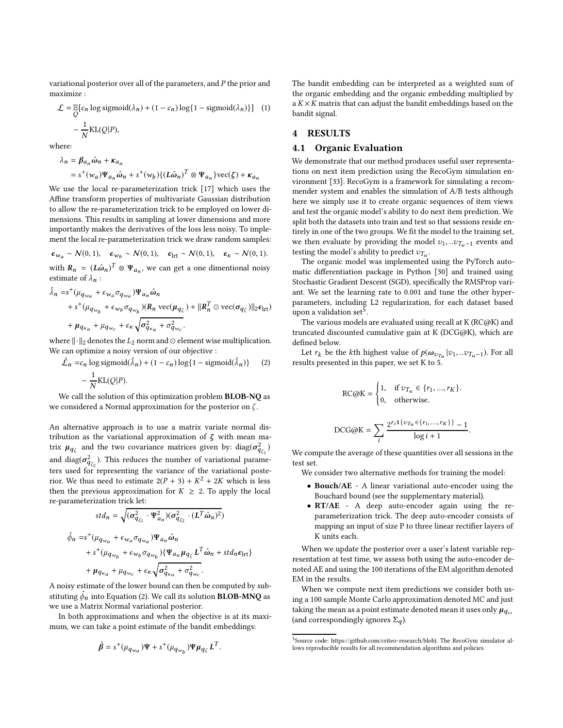variational posterior over all of the parameters, and  $P$  the prior and maximize :

$$
\mathcal{L} = \mathbb{E}[c_n \log \text{sigmoid}(\lambda_n) + (1 - c_n) \log\{1 - \text{sigmoid}(\lambda_n)\}] \quad (1)
$$

$$
- \frac{1}{N} \text{KL}(Q|P),
$$

where:

$$
\lambda_n = \beta_{a_n} \hat{\omega}_n + \kappa_{a_n}
$$
  
=  $s^+(w_a) \Psi_{a_n} \hat{\omega}_n + s^+(w_b) \{ (L \hat{\omega}_n)^T \otimes \Psi_{a_n} \} \text{vec}(\zeta) + \kappa_{a_n}$ 

We use the local re-parameterization trick [\[17\]](#page-8-20) which uses the Affine transform properties of multivariate Gaussian distribution to allow the re-parameterization trick to be employed on lower dimensions. This results in sampling at lower dimensions and more importantly makes the derivatives of the loss less noisy. To implement the local re-parameterization trick we draw random samples:

$$
\epsilon_{w_a} \sim \mathcal{N}(0, 1), \quad \epsilon_{w_b} \sim \mathcal{N}(0, 1), \quad \epsilon_{\text{Irt}} \sim \mathcal{N}(0, 1), \quad \epsilon_{\kappa} \sim \mathcal{N}(0, 1).
$$

with  $R_n = (L\hat{\omega}_n)^T \otimes \Psi_{a_n}$ , we can get a one dimentional noisy estimate of  $\lambda_n$ :

$$
\hat{\lambda}_n = s^+(\mu_{q_{w_a}} + \epsilon_{w_a}\sigma_{q_{w_a}})\Psi_{a_n}\hat{\omega}_n \n+ s^+(\mu_{q_{w_b}} + \epsilon_{w_b}\sigma_{q_{w_b}})(R_n \operatorname{vec}(\mu_{q_{\zeta}}) + ||R_n^T \odot \operatorname{vec}(\sigma_{q_{\zeta}})||_2 \epsilon_{\mathrm{lrt}}) \n+ \mu_{q_{\kappa_a}} + \mu_{q_{w_c}} + \epsilon_{\kappa} \sqrt{\sigma_{q_{\kappa_a}}^2 + \sigma_{q_{w_c}}^2}.
$$

where  $\lVert \cdot \rVert_2$  denotes the  $L_2$  norm and ⊙ element wise multiplication. We can optimize a noisy version of our objective :

$$
\hat{\mathcal{L}}_n = c_n \log \text{sigmoid}(\hat{\lambda}_n) + (1 - c_n) \log\{1 - \text{sigmoid}(\hat{\lambda}_n)\} \tag{2}
$$

$$
-\frac{1}{N}\text{KL}(Q|P).
$$

We call the solution of this optimization problem BLOB-NQ as we considered a Normal approximation for the posterior on  $\zeta$ .

An alternative approach is to use a matrix variate normal distribution as the variational approximation of  $\zeta$  with mean matrix  $\mu_{q_{\zeta}}$  and the two covariance matrices given by:  $\text{diag}(\sigma^2_{q_{\zeta_1}})$ and diag( $\sigma_{q_{\zeta_2}}^2$ ). This reduces the number of variational parameters used for representing the variance of the variational posterior. We thus need to estimate  $2(P + 3) + K^2 + 2K$  which is less then the previous approximation for  $K \geq 2$ . To apply the local re-parameterization trick let:

$$
std_n = \sqrt{(\sigma_{q_{\zeta_1}}^2 \cdot \Psi_{a_n}^2)(\sigma_{q_{\zeta_2}}^2 \cdot (L^T \hat{\omega}_n)^2)}
$$
  

$$
\hat{\phi}_n = s^+(\mu_{q_{wa}} + \epsilon_{wa}\sigma_{q_{wa}})\Psi_{a_n}\hat{\omega}_n
$$
  

$$
+ s^+(\mu_{q_{w_b}} + \epsilon_{w_b}\sigma_{q_{w_b}})\{\Psi_{a_n}\mu_{q_{\zeta}}L^T\hat{\omega}_n + std_n\epsilon_{\text{Irt}}\}
$$
  

$$
+ \mu_{q_{\kappa_a}} + \mu_{q_{w_c}} + \epsilon_{\kappa}\sqrt{\sigma_{q_{\kappa_a}}^2 + \sigma_{q_{w_c}}^2}.
$$

A noisy estimate of the lower bound can then be computed by substituting  $\hat{\phi}_n$  into Equation [\(2\)](#page-5-0). We call its solution  $\mathbf{BLOB\text{-}M NQ}$  as we use a Matrix Normal variational posterior.

In both approximations and when the objective is at its maximum, we can take a point estimate of the bandit embeddings:

$$
\hat{\beta} = s^+(\mu_{q_{w_a}})\Psi + s^+(\mu_{q_{w_b}})\Psi \mu_{q_{\zeta}} L^T.
$$

The bandit embedding can be interpreted as a weighted sum of the organic embedding and the organic embedding multiplied by a  $K \times K$  matrix that can adjust the bandit embeddings based on the bandit signal.

#### 4 RESULTS

#### 4.1 Organic Evaluation

 $\mathbf D$ 

 $te$ 

We demonstrate that our method produces useful user representations on next item prediction using the RecoGym simulation environment [\[33\]](#page-8-7). RecoGym is a framework for simulating a recommender system and enables the simulation of A/B tests although here we simply use it to create organic sequences of item views and test the organic model's ability to do next item prediction. We split both the datasets into train and test so that sessions reside entirely in one of the two groups. We fit the model to the training set, we then evaluate by providing the model  $v_1, ... v_{T_u-1}$  events and testing the model's ability to predict  $v_{T_u}$ .

The organic model was implemented using the PyTorch automatic differentiation package in Python [\[30](#page-8-21)] and trained using Stochastic Gradient Descent (SGD), specifically the RMSProp variant. We set the learning rate to 0.001 and tune the other hyperparameters, including L2 regularization, for each dataset based upon a validation set $^5$  $^5$ .

The various models are evaluated using recall at K (RC@K) and truncated discounted cumulative gain at K (DCG@K), which are defined below.

<span id="page-5-0"></span>Let  $r_k$  be the *k*th highest value of  $p(\omega_{v_{T_u}}|v_1, ... v_{T_u-1})$ . For all results presented in this paper, we set K to 5.

$$
RC@K = \begin{cases} 1, & \text{if } v_{T_u} \in \{r_1, ..., r_K\}. \\ 0, & \text{otherwise.} \end{cases}
$$

$$
CG@K = \sum_{i} \frac{2^{r_i 1\{v_{T_u} \in \{r_1, ..., r_K\}\}} - 1}{\log i + 1}
$$

We compute the average of these quantities over all sessions in the

.

i

We consider two alternative methods for training the model:

- Bouch/AE A linear variational auto-encoder using the Bouchard bound (see the supplementary material).
- RT/AE A deep auto-encoder again using the reparameterization trick. The deep auto-encoder consists of mapping an input of size P to three linear rectifier layers of K units each.

When we update the posterior over a user's latent variable representation at test time, we assess both using the auto-encoder denoted AE and using the 100 iterations of the EM algorithm denoted EM in the results.

When we compute next item predictions we consider both using a 100 sample Monte Carlo approximation denoted MC and just taking the mean as a point estimate denoted mean it uses only  $\mu_{q_{\omega}}$ (and correspondingly ignores  $\Sigma_q$ ).

<span id="page-5-1"></span><sup>&</sup>lt;sup>5</sup>Source code: [https://github.com/criteo-research/blob\)](https://github.com/criteo-research/blob). The RecoGym simulator allows reproducible results for all recommendation algorithms and policies.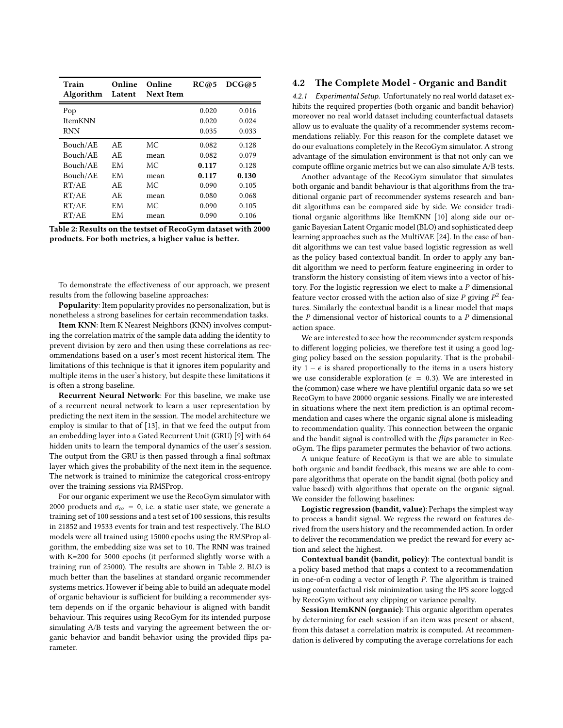| Train<br>Algorithm | Online<br>Latent | Online<br><b>Next Item</b> | RC@5  | DCG@5 |
|--------------------|------------------|----------------------------|-------|-------|
| Pop                |                  |                            | 0.020 | 0.016 |
| <b>ItemKNN</b>     |                  |                            | 0.020 | 0.024 |
| <b>RNN</b>         |                  |                            | 0.035 | 0.033 |
| Bouch/AE           | AF.              | MC.                        | 0.082 | 0.128 |
| Bouch/AE           | AE.              | mean                       | 0.082 | 0.079 |
| Bouch/AE           | <b>EM</b>        | MC.                        | 0.117 | 0.128 |
| Bouch/AE           | EM               | mean                       | 0.117 | 0.130 |
| RT/AE              | AE.              | MC.                        | 0.090 | 0.105 |
| RT/AE              | AF.              | mean                       | 0.080 | 0.068 |
| RT/AE              | EМ               | МC                         | 0.090 | 0.105 |
| RT/AE              | EМ               | mean                       | 0.090 | 0.106 |

Table 2: Results on the testset of RecoGym dataset with 2000 products. For both metrics, a higher value is better.

To demonstrate the effectiveness of our approach, we present results from the following baseline approaches:

Popularity: Item popularity provides no personalization, but is nonetheless a strong baselines for certain recommendation tasks.

Item KNN: Item K Nearest Neighbors (KNN) involves computing the correlation matrix of the sample data adding the identity to prevent division by zero and then using these correlations as recommendations based on a user's most recent historical item. The limitations of this technique is that it ignores item popularity and multiple items in the user's history, but despite these limitations it is often a strong baseline.

Recurrent Neural Network: For this baseline, we make use of a recurrent neural network to learn a user representation by predicting the next item in the session. The model architecture we employ is similar to that of [\[13\]](#page-8-1), in that we feed the output from an embedding layer into a Gated Recurrent Unit (GRU) [\[9\]](#page-8-22) with 64 hidden units to learn the temporal dynamics of the user's session. The output from the GRU is then passed through a final softmax layer which gives the probability of the next item in the sequence. The network is trained to minimize the categorical cross-entropy over the training sessions via RMSProp.

For our organic experiment we use the RecoGym simulator with 2000 products and  $\sigma_{\omega} = 0$ , i.e. a static user state, we generate a training set of 100 sessions and a test set of 100 sessions, this results in 21852 and 19533 events for train and test respectively. The BLO models were all trained using 15000 epochs using the RMSProp algorithm, the embedding size was set to 10. The RNN was trained with K=200 for 5000 epochs (it performed slightly worse with a training run of 25000). The results are shown in Table 2. BLO is much better than the baselines at standard organic recommender systems metrics. However if being able to build an adequate model of organic behaviour is sufficient for building a recommender system depends on if the organic behaviour is aligned with bandit behaviour. This requires using RecoGym for its intended purpose simulating A/B tests and varying the agreement between the organic behavior and bandit behavior using the provided flips parameter.

#### 4.2 The Complete Model - Organic and Bandit

4.2.1 Experimental Setup. Unfortunately no real world dataset exhibits the required properties (both organic and bandit behavior) moreover no real world dataset including counterfactual datasets allow us to evaluate the quality of a recommender systems recommendations reliably. For this reason for the complete dataset we do our evaluations completely in the RecoGym simulator. A strong advantage of the simulation environment is that not only can we compute offline organic metrics but we can also simulate A/B tests.

Another advantage of the RecoGym simulator that simulates both organic and bandit behaviour is that algorithms from the traditional organic part of recommender systems research and bandit algorithms can be compared side by side. We consider traditional organic algorithms like ItemKNN [\[10\]](#page-8-23) along side our organic Bayesian Latent Organic model (BLO) and sophisticated deep learning approaches such as the MultiVAE [\[24\]](#page-8-24). In the case of bandit algorithms we can test value based logistic regression as well as the policy based contextual bandit. In order to apply any bandit algorithm we need to perform feature engineering in order to transform the history consisting of item views into a vector of history. For the logistic regression we elect to make a P dimensional feature vector crossed with the action also of size  $P$  giving  $P^2$  features. Similarly the contextual bandit is a linear model that maps the  $P$  dimensional vector of historical counts to a  $P$  dimensional action space.

We are interested to see how the recommender system responds to different logging policies, we therefore test it using a good logging policy based on the session popularity. That is the probability 1 −  $\epsilon$  is shared proportionally to the items in a users history we use considerable exploration ( $\epsilon = 0.3$ ). We are interested in the (common) case where we have plentiful organic data so we set RecoGym to have 20000 organic sessions. Finally we are interested in situations where the next item prediction is an optimal recommendation and cases where the organic signal alone is misleading to recommendation quality. This connection between the organic and the bandit signal is controlled with the flips parameter in RecoGym. The flips parameter permutes the behavior of two actions.

A unique feature of RecoGym is that we are able to simulate both organic and bandit feedback, this means we are able to compare algorithms that operate on the bandit signal (both policy and value based) with algorithms that operate on the organic signal. We consider the following baselines:

Logistic regression (bandit, value): Perhaps the simplest way to process a bandit signal. We regress the reward on features derived from the users history and the recommended action. In order to deliver the recommendation we predict the reward for every action and select the highest.

Contextual bandit (bandit, policy): The contextual bandit is a policy based method that maps a context to a recommendation in one-of-n coding a vector of length P. The algorithm is trained using counterfactual risk minimization using the IPS score logged by RecoGym without any clipping or variance penalty.

Session ItemKNN (organic): This organic algorithm operates by determining for each session if an item was present or absent, from this dataset a correlation matrix is computed. At recommendation is delivered by computing the average correlations for each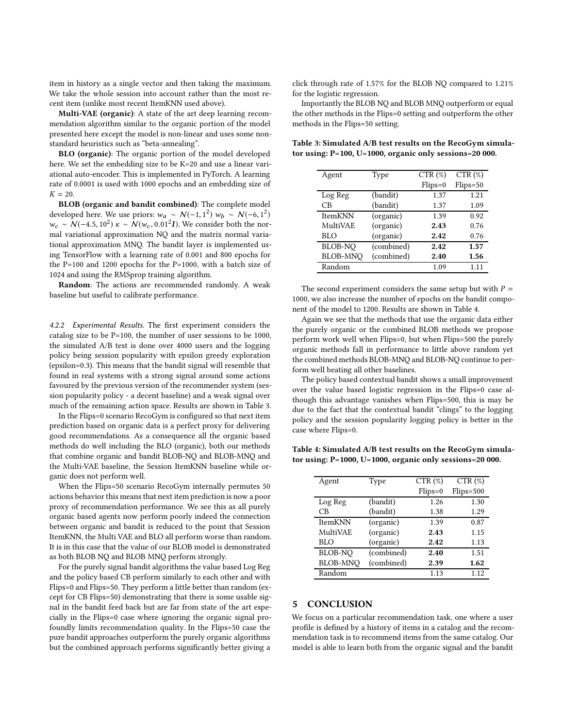item in history as a single vector and then taking the maximum. We take the whole session into account rather than the most recent item (unlike most recent ItemKNN used above).

Multi-VAE (organic): A state of the art deep learning recommendation algorithm similar to the organic portion of the model presented here except the model is non-linear and uses some nonstandard heuristics such as "beta-annealing".

BLO (organic): The organic portion of the model developed here. We set the embedding size to be K=20 and use a linear variational auto-encoder. This is implemented in PyTorch. A learning rate of 0.0001 is used with 1000 epochs and an embedding size of  $K = 20.$ 

BLOB (organic and bandit combined): The complete model developed here. We use priors:  $w_a \sim N(-1, 1^2) w_b \sim N(-6, 1^2)$  $w_c \sim \mathcal{N}(-4.5, 10^2) \kappa \sim \mathcal{N}(w_c, 0.01^2 I)$ . We consider both the normal variational approximation NQ and the matrix normal variational approximation MNQ. The bandit layer is implemented using TensorFlow with a learning rate of 0.001 and 800 epochs for the P=100 and 1200 epochs for the P=1000, with a batch size of 1024 and using the RMSprop training algorithm.

Random: The actions are recommended randomly. A weak baseline but useful to calibrate performance.

4.2.2 Experimental Results. The first experiment considers the catalog size to be P=100, the number of user sessions to be 1000, the simulated A/B test is done over 4000 users and the logging policy being session popularity with epsilon greedy exploration (epsilon=0.3). This means that the bandit signal will resemble that found in real systems with a strong signal around some actions favoured by the previous version of the recommender system (session popularity policy - a decent baseline) and a weak signal over much of the remaining action space. Results are shown in Table 3.

In the Flips=0 scenario RecoGym is configured so that next item prediction based on organic data is a perfect proxy for delivering good recommendations. As a consequence all the organic based methods do well including the BLO (organic), both our methods that combine organic and bandit BLOB-NQ and BLOB-MNQ and the Multi-VAE baseline, the Session ItemKNN baseline while organic does not perform well.

When the Flips=50 scenario RecoGym internally permutes 50 actions behavior this means that next item prediction is now a poor proxy of recommendation performance. We see this as all purely organic based agents now perform poorly indeed the connection between organic and bandit is reduced to the point that Session ItemKNN, the Multi VAE and BLO all perform worse than random. It is in this case that the value of our BLOB model is demonstrated as both BLOB NQ and BLOB MNQ perform strongly.

For the purely signal bandit algorithms the value based Log Reg and the policy based CB perform similarly to each other and with Flips=0 and Flips=50. They perform a little better than random (except for CB Flips=50) demonstrating that there is some usable signal in the bandit feed back but are far from state of the art especially in the Flips=0 case where ignoring the organic signal profoundly limits recommendation quality. In the Flips=50 case the pure bandit approaches outperform the purely organic algorithms but the combined approach performs significantly better giving a

click through rate of 1.57% for the BLOB NQ compared to 1.21% for the logistic regression.

Importantly the BLOB NQ and BLOB MNQ outperform or equal the other methods in the Flips=0 setting and outperform the other methods in the Flips=50 setting.

| Agent           | Type       | CTR (%)   | CTR (%)    |
|-----------------|------------|-----------|------------|
|                 |            | $Flips=0$ | $Flips=50$ |
| Log Reg         | (bandit)   | 1.37      | 1.21       |
| CB              | (bandit)   | 1.37      | 1.09       |
| <b>ItemKNN</b>  | (organic)  | 1.39      | 0.92       |
| MultiVAE        | (organic)  | 2.43      | 0.76       |
| <b>BLO</b>      | (organic)  | 2.42      | 0.76       |
| <b>BLOB-NO</b>  | (combined) | 2.42      | 1.57       |
| <b>BLOB-MNO</b> | (combined) | 2.40      | 1.56       |
| Random          |            | 1.09      | 1 1 1      |

Table 3: Simulated A/B test results on the RecoGym simulator using: P=100, U=1000, organic only sessions=20 000.

The second experiment considers the same setup but with  $P =$ 1000, we also increase the number of epochs on the bandit component of the model to 1200. Results are shown in Table 4.

Again we see that the methods that use the organic data either the purely organic or the combined BLOB methods we propose perform work well when Flips=0, but when Flips=500 the purely organic methods fall in performance to little above random yet the combined methods BLOB-MNQ and BLOB-NQ continue to perform well beating all other baselines.

The policy based contextual bandit shows a small improvement over the value based logistic regression in the Flips=0 case although this advantage vanishes when Flips=500, this is may be due to the fact that the contextual bandit "clings" to the logging policy and the session popularity logging policy is better in the case where Flips=0.

Table 4: Simulated A/B test results on the RecoGym simulator using: P=1000, U=1000, organic only sessions=20 000.

| Agent           | Type       | CTR (%)   | CTR (%)     |
|-----------------|------------|-----------|-------------|
|                 |            | $Flips=0$ | $Flips=500$ |
| Log Reg         | (bandit)   | 1.26      | 1.30        |
| СB              | (bandit)   | 1.38      | 1.29        |
| <b>ItemKNN</b>  | (organic)  | 1.39      | 0.87        |
| MultiVAE        | (organic)  | 2.43      | 1.15        |
| <b>BLO</b>      | (organic)  | 2.42      | 1.13        |
| <b>BLOB-NO</b>  | (combined) | 2.40      | 1.51        |
| <b>BLOB-MNO</b> | (combined) | 2.39      | 1.62        |
| Random          |            | 1.13      | 1.12        |

# **CONCLUSION**

We focus on a particular recommendation task, one where a user profile is defined by a history of items in a catalog and the recommendation task is to recommend items from the same catalog. Our model is able to learn both from the organic signal and the bandit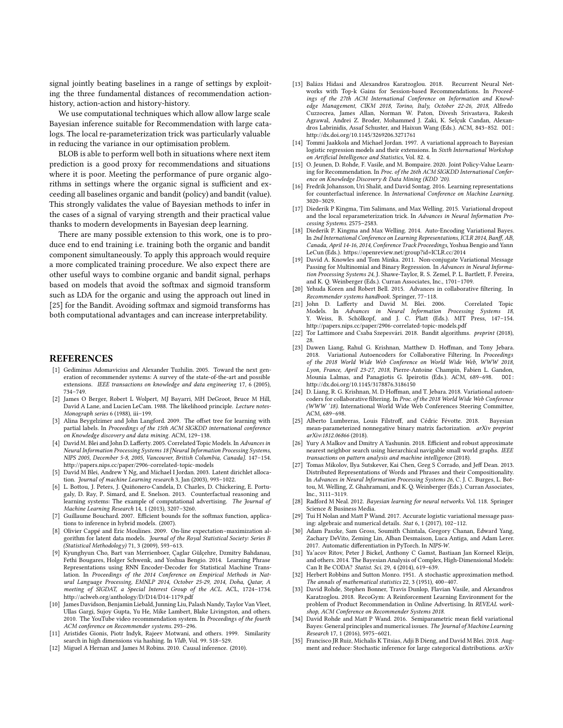signal jointly beating baselines in a range of settings by exploiting the three fundamental distances of recommendation actionhistory, action-action and history-history.

We use computational techniques which allow allow large scale Bayesian inference suitable for Recommendation with large catalogs. The local re-parameterization trick was particularly valuable in reducing the variance in our optimisation problem.

BLOB is able to perform well both in situations where next item prediction is a good proxy for recommendations and situations where it is poor. Meeting the performance of pure organic algorithms in settings where the organic signal is sufficient and exceeding all baselines organic and bandit (policy) and bandit (value). This strongly validates the value of Bayesian methods to infer in the cases of a signal of varying strength and their practical value thanks to modern developments in Bayesian deep learning.

There are many possible extension to this work, one is to produce end to end training i.e. training both the organic and bandit component simultaneously. To apply this approach would require a more complicated training procedure. We also expect there are other useful ways to combine organic and bandit signal, perhaps based on models that avoid the softmax and sigmoid transform such as LDA for the organic and using the approach out lined in [\[25](#page-8-25)] for the Bandit. Avoiding softmax and sigmoid transforms has both computational advantages and can increase interpretability.

#### **REFERENCES**

- <span id="page-8-0"></span>[1] Gediminas Adomavicius and Alexander Tuzhilin. 2005. Toward the next generation of recommender systems: A survey of the state-of-the-art and possible extensions. IEEE transactions on knowledge and data engineering 17, 6 (2005), 734–749.
- <span id="page-8-13"></span>[2] James O Berger, Robert L Wolpert, MJ Bayarri, MH DeGroot, Bruce M Hill, David A Lane, and Lucien LeCam. 1988. The likelihood principle. Lecture notes-Monograph series 6 (1988), iii–199.
- <span id="page-8-4"></span>[3] Alina Beygelzimer and John Langford. 2009. The offset tree for learning with partial labels. In Proceedings of the 15th ACM SIGKDD international conference on Knowledge discovery and data mining. ACM, 129–138.
- <span id="page-8-28"></span>[4] David M. Blei and John D. Lafferty. 2005. Correlated Topic Models. In Advances in Neural Information Processing Systems 18 [Neural Information Processing Systems, NIPS 2005, December 5-8, 2005, Vancouver, British Columbia, Canada]. 147–154. <http://papers.nips.cc/paper/2906-correlated-topic-models>
- <span id="page-8-8"></span>[5] David M Blei, Andrew Y Ng, and Michael I Jordan. 2003. Latent dirichlet allocation. Journal of machine Learning research 3, Jan (2003), 993–1022.
- <span id="page-8-5"></span>[6] L. Bottou, J. Peters, J. Quiñonero-Candela, D. Charles, D. Chickering, E. Portugaly, D. Ray, P. Simard, and E. Snelson. 2013. Counterfactual reasoning and learning systems: The example of computational advertising. The Journal of Machine Learning Research 14, 1 (2013), 3207–3260.
- <span id="page-8-19"></span>[7] Guillaume Bouchard. 2007. Efficient bounds for the softmax function, applications to inference in hybrid models. (2007).
- <span id="page-8-30"></span>[8] Olivier Cappé and Eric Moulines. 2009. On-line expectation–maximization algorithm for latent data models. Journal of the Royal Statistical Society: Series B (Statistical Methodology) 71, 3 (2009), 593–613.
- <span id="page-8-22"></span>[9] Kyunghyun Cho, Bart van Merrienboer, Çaglar Gülçehre, Dzmitry Bahdanau, Fethi Bougares, Holger Schwenk, and Yoshua Bengio. 2014. Learning Phrase Representations using RNN Encoder-Decoder for Statistical Machine Translation. In Proceedings of the 2014 Conference on Empirical Methods in Natural Language Processing, EMNLP 2014, October 25-29, 2014, Doha, Qatar, A meeting of SIGDAT, a Special Interest Group of the ACL. ACL, 1724–1734. <http://aclweb.org/anthology/D/D14/D14-1179.pdf>
- <span id="page-8-23"></span>[10] James Davidson, Benjamin Liebald, Junning Liu, Palash Nandy, Taylor Van Vleet, Ullas Gargi, Sujoy Gupta, Yu He, Mike Lambert, Blake Livingston, and others. 2010. The YouTube video recommendation system. In Proceedings of the fourth ACM conference on Recommender systems. 293–296.
- <span id="page-8-11"></span>[11] Aristides Gionis, Piotr Indyk, Rajeev Motwani, and others. 1999. Similarity search in high dimensions via hashing. In Vldb, Vol. 99. 518-529.
- <span id="page-8-14"></span>[12] Miguel A Hernan and James M Robins. 2010. Causal inference. (2010).
- <span id="page-8-1"></span>[13] Balázs Hidasi and Alexandros Karatzoglou. 2018. Recurrent Neural Networks with Top-k Gains for Session-based Recommendations. In Proceedings of the 27th ACM International Conference on Information and Knowledge Management, CIKM 2018, Torino, Italy, October 22-26, 2018, Alfredo Cuzzocrea, James Allan, Norman W. Paton, Divesh Srivastava, Rakesh Agrawal, Andrei Z. Broder, Mohammed J. Zaki, K. Selçuk Candan, Alexandros Labrinidis, Assaf Schuster, and Haixun Wang (Eds.). ACM, 843–852. DOI: <http://dx.doi.org/10.1145/3269206.3271761>
- <span id="page-8-26"></span>[14] Tommi Jaakkola and Michael Jordan. 1997. A variational approach to Bayesian logistic regression models and their extensions. In Sixth International Workshop on Artificial Intelligence and Statistics, Vol. 82. 4.
- <span id="page-8-6"></span>[15] O. Jeunen, D. Rohde, F. Vasile, and M. Bompaire. 2020. Joint Policy-Value Learning for Recommendation. In Proc. of the 26th ACM SIGKDD International Conference on Knowledge Discovery & Data Mining (KDD '20).
- <span id="page-8-16"></span>[16] Fredrik Johansson, Uri Shalit, and David Sontag. 2016. Learning representations for counterfactual inference. In International Conference on Machine Learning. 3020–3029.
- <span id="page-8-20"></span>[17] Diederik P Kingma, Tim Salimans, and Max Welling. 2015. Variational dropout and the local reparameterization trick. In Advances in Neural Information Processing Systems. 2575–2583.
- <span id="page-8-18"></span>[18] Diederik P. Kingma and Max Welling. 2014. Auto-Encoding Variational Bayes. In 2nd International Conference on Learning Representations, ICLR 2014, Banff, AB, Canada, April 14-16, 2014, Conference Track Proceedings, Yoshua Bengio and Yann LeCun (Eds.).<https://openreview.net/group?id=ICLR.cc/2014>
- <span id="page-8-32"></span>[19] David A. Knowles and Tom Minka. 2011. Non-conjugate Variational Message Passing for Multinomial and Binary Regression. In Advances in Neural Information Processing Systems 24, J. Shawe-Taylor, R. S. Zemel, P. L. Bartlett, F. Pereira, and K. Q. Weinberger (Eds.). Curran Associates, Inc., 1701–1709.
- <span id="page-8-2"></span>[20] Yehuda Koren and Robert Bell. 2015. Advances in collaborative filtering. In Recommender systems handbook. Springer, 77–118.
- <span id="page-8-9"></span>[21] John D. Lafferty and David M. Blei. 2006. Correlated Topic Models. In Advances in Neural Information Processing Systems 18, Y. Weiss, B. Schölkopf, and J. C. Platt (Eds.). MIT Press, 147–154. <http://papers.nips.cc/paper/2906-correlated-topic-models.pdf>
- <span id="page-8-10"></span>[22] Tor Lattimore and Csaba Szepesvári. 2018. Bandit algorithms. preprint (2018), 28.
- <span id="page-8-3"></span>[23] Dawen Liang, Rahul G. Krishnan, Matthew D. Hoffman, and Tony Jebara. 2018. Variational Autoencoders for Collaborative Filtering. In Proceedings of the 2018 World Wide Web Conference on World Wide Web, WWW 2018, Lyon, France, April 23-27, 2018, Pierre-Antoine Champin, Fabien L. Gandon, Mounia Lalmas, and Panagiotis G. Ipeirotis (Eds.). ACM, 689–698. DOI: <http://dx.doi.org/10.1145/3178876.3186150>
- <span id="page-8-24"></span>[24] D. Liang, R. G. Krishnan, M. D Hoffman, and T. Jebara. 2018. Variational autoencoders for collaborative filtering. In Proc. of the 2018 World Wide Web Conference (WWW '18). International World Wide Web Conferences Steering Committee, ACM, 689–698.
- <span id="page-8-25"></span>[25] Alberto Lumbreras, Louis Filstroff, and Cédric Févotte. 2018. Bayesian mean-parameterized nonnegative binary matrix factorization. arXiv preprint arXiv:1812.06866 (2018).
- <span id="page-8-12"></span>[26] Yury A Malkov and Dmitry A Yashunin. 2018. Efficient and robust approximate nearest neighbor search using hierarchical navigable small world graphs. IEEE transactions on pattern analysis and machine intelligence (2018).
- <span id="page-8-27"></span>[27] Tomas Mikolov, Ilya Sutskever, Kai Chen, Greg S Corrado, and Jeff Dean. 2013. Distributed Representations of Words and Phrases and their Compositionality. In Advances in Neural Information Processing Systems 26, C. J. C. Burges, L. Bottou, M. Welling, Z. Ghahramani, and K. Q. Weinberger (Eds.). Curran Associates, Inc., 3111–3119.
- <span id="page-8-17"></span>[28] Radford M Neal. 2012. Bayesian learning for neural networks. Vol. 118. Springer Science & Business Media.
- <span id="page-8-33"></span>[29] Tui H Nolan and Matt P Wand. 2017. Accurate logistic variational message passing: algebraic and numerical details. Stat 6, 1 (2017), 102–112.
- <span id="page-8-21"></span>[30] Adam Paszke, Sam Gross, Soumith Chintala, Gregory Chanan, Edward Yang, Zachary DeVito, Zeming Lin, Alban Desmaison, Luca Antiga, and Adam Lerer. 2017. Automatic differentiation in PyTorch. In NIPS-W.
- <span id="page-8-15"></span>[31] Ya'acov Ritov, Peter J Bickel, Anthony C Gamst, Bastiaan Jan Korneel Kleijn, and others. 2014. The Bayesian Analysis of Complex, High-Dimensional Models: Can It Be CODA? Statist. Sci. 29, 4 (2014), 619–639.
- <span id="page-8-31"></span>[32] Herbert Robbins and Sutton Monro. 1951. A stochastic approximation method. The annals of mathematical statistics 22, 3 (1951), 400–407.
- <span id="page-8-7"></span>[33] David Rohde, Stephen Bonner, Travis Dunlop, Flavian Vasile, and Alexandros Karatzoglou. 2018. RecoGym: A Reinforcement Learning Environment for the problem of Product Recommendation in Online Advertising. In REVEAL workshop, ACM Conference on Recommender Systems 2018.
- <span id="page-8-34"></span>[34] David Rohde and Matt P Wand. 2016. Semiparametric mean field variational Bayes: General principles and numerical issues. The Journal of Machine Learning Research 17, 1 (2016), 5975–6021.
- <span id="page-8-29"></span>[35] Francisco JR Ruiz, Michalis K Titsias, Adji B Dieng, and David M Blei. 2018. Augment and reduce: Stochastic inference for large categorical distributions. arXiv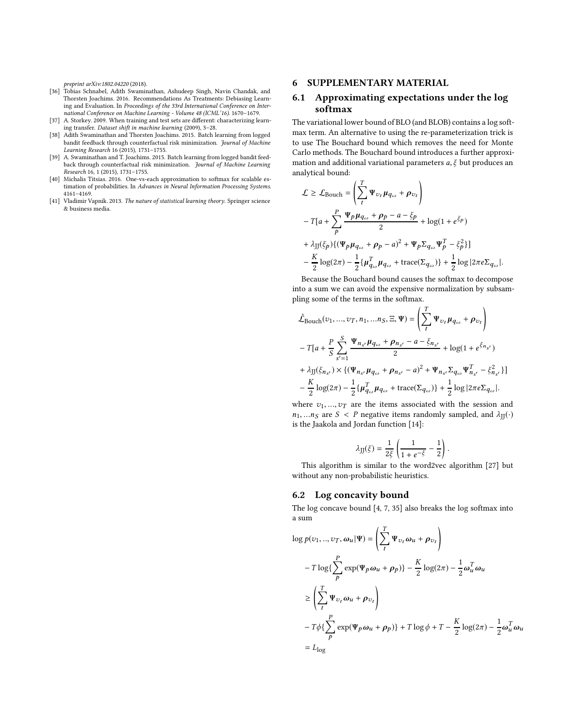preprint arXiv:1802.04220 (2018).

- <span id="page-9-4"></span>[36] Tobias Schnabel, Adith Swaminathan, Ashudeep Singh, Navin Chandak, and Thorsten Joachims. 2016. Recommendations As Treatments: Debiasing Learning and Evaluation. In Proceedings of the 33rd International Conference on International Conference on Machine Learning - Volume 48 (ICML'16). 1670–1679.
- <span id="page-9-1"></span>[37] A. Storkey. 2009. When training and test sets are different: characterizing learning transfer. Dataset shift in machine learning (2009), 3–28.
- <span id="page-9-0"></span>[38] Adith Swaminathan and Thorsten Joachims. 2015. Batch learning from logged bandit feedback through counterfactual risk minimization. Journal of Machine Learning Research 16 (2015), 1731–1755.
- <span id="page-9-3"></span>[39] A. Swaminathan and T. Joachims. 2015. Batch learning from logged bandit feedback through counterfactual risk minimization. Journal of Machine Learning Research 16, 1 (2015), 1731–1755.
- <span id="page-9-5"></span>[40] Michalis Titsias. 2016. One-vs-each approximation to softmax for scalable estimation of probabilities. In Advances in Neural Information Processing Systems. 4161–4169.
- <span id="page-9-2"></span>[41] Vladimir Vapnik. 2013. The nature of statistical learning theory. Springer science & business media.

#### 6 SUPPLEMENTARY MATERIAL

# 6.1 Approximating expectations under the log softmax

The variational lower bound of BLO (and BLOB) contains a log softmax term. An alternative to using the re-parameterization trick is to use The Bouchard bound which removes the need for Monte Carlo methods. The Bouchard bound introduces a further approximation and additional variational parameters  $a, \xi$  but produces an analytical bound:

$$
\mathcal{L} \geq \mathcal{L}_{\text{Bouch}} = \left( \sum_{t}^{T} \Psi_{v_t} \mu_{q_{\omega}} + \rho_{v_t} \right)
$$
  
-  $T[a + \sum_{p}^{P} \frac{\Psi_p \mu_{q_{\omega}} + \rho_p - a - \xi_p}{2} + \log(1 + e^{\xi_p})$   
+  $\lambda_{JJ}(\xi_p) \{ (\Psi_p \mu_{q_{\omega}} + \rho_p - a)^2 + \Psi_p \Sigma_{q_{\omega}} \Psi_p^T - \xi_p^2 \} ]$   
-  $\frac{K}{2} \log(2\pi) - \frac{1}{2} \{ \mu_{q_{\omega}}^T \mu_{q_{\omega}} + \text{trace}(\Sigma_{q_{\omega}}) \} + \frac{1}{2} \log |2\pi e \Sigma_{q_{\omega}}|.$ 

Because the Bouchard bound causes the softmax to decompose into a sum we can avoid the expensive normalization by subsampling some of the terms in the softmax.

$$
\hat{\mathcal{L}}_{\text{Bouch}}(v_1, ..., v_T, n_1, ..., n_S, \Xi, \Psi) = \left(\sum_{t}^{T} \Psi_{v_t} \mu_{q_{\omega}} + \rho_{v_t}\right) \n- T[a + \frac{P}{S} \sum_{s'=1}^{S} \frac{\Psi_{n_s} \mu_{q_{\omega}} + \rho_{n_{s'}} - a - \xi_{n_{s'}}}{2} + \log(1 + e^{\xi_{n_{s'}}}) \n+ \lambda_{\text{JJ}}(\xi_{n_{s'}}) \times \{(\Psi_{n_{s'}} \mu_{q_{\omega}} + \rho_{n_{s'}} - a)^2 + \Psi_{n_{s'}} \Sigma_{q_{\omega}} \Psi_{n_{s'}}^T - \xi_{n_{s'}}^2\}] \n- \frac{K}{2} \log(2\pi) - \frac{1}{2} \{\mu_{q_{\omega}}^T \mu_{q_{\omega}} + \text{trace}(\Sigma_{q_{\omega}})\} + \frac{1}{2} \log|2\pi e \Sigma_{q_{\omega}}|.
$$

where  $v_1, ..., v_T$  are the items associated with the session and  $n_1, \ldots n_S$  are  $S < P$  negative items randomly sampled, and  $\lambda_{\text{II}}(\cdot)$ is the Jaakola and Jordan function [\[14\]](#page-8-26):

$$
\lambda_{\text{JJ}}(\xi) = \frac{1}{2\xi}\left(\frac{1}{1+e^{-\xi}}-\frac{1}{2}\right).
$$

This algorithm is similar to the word2vec algorithm [\[27\]](#page-8-27) but without any non-probabilistic heuristics.

#### 6.2 Log concavity bound

The log concave bound [\[4](#page-8-28), [7,](#page-8-19) [35\]](#page-8-29) also breaks the log softmax into a sum

$$
\log p(v_1, ..., v_T, \omega_u | \Psi) = \left(\sum_t^T \Psi_{v_t} \omega_u + \rho_{v_t}\right)
$$
  
-  $T \log\left(\sum_p^P \exp(\Psi_p \omega_u + \rho_p)\right) - \frac{K}{2} \log(2\pi) - \frac{1}{2} \omega_u^T \omega_u$   

$$
\geq \left(\sum_t^T \Psi_{v_t} \omega_u + \rho_{v_t}\right)
$$
  
-  $T \phi\left\{\sum_p^P \exp(\Psi_p \omega_u + \rho_p)\right\} + T \log \phi + T - \frac{K}{2} \log(2\pi) - \frac{1}{2} \omega_u^T \omega_u$   
=  $L_{\log}$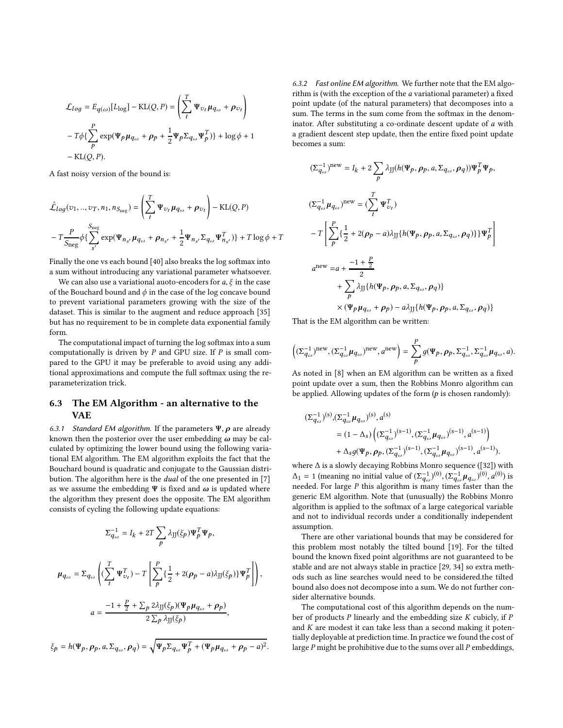$$
\mathcal{L}_{log} = E_{q(\omega)}[L_{log}] - \text{KL}(Q, P) = \left(\sum_{t}^{T} \Psi_{v_t} \mu_{q_{\omega}} + \rho_{v_t}\right)
$$

$$
-T\phi\left\{\sum_{p}^{P} \exp(\Psi_p \mu_{q_{\omega}} + \rho_p + \frac{1}{2} \Psi_p \Sigma_{q_{\omega}} \Psi_p^T)\right\} + \log \phi + 1
$$

$$
- \text{KL}(Q, P).
$$

A fast noisy version of the bound is:

$$
\hat{\mathcal{L}}_{log}(v_1,..,v_T, n_1, n_{S_{neg}}) = \left(\sum_t^T \Psi_{v_t} \mu_{q_\omega} + \rho_{v_t}\right) - \text{KL}(Q, P)
$$
\n
$$
-T \frac{P}{S_{neg}} \phi\left\{\sum_{s'}^{S_{neg}} \exp(\Psi_{n_{s'}} \mu_{q_\omega} + \rho_{n_{s'}} + \frac{1}{2} \Psi_{n_{s'}} \Sigma_{q_\omega} \Psi_{n_{s'}}^T)\right\} + T \log \phi + T
$$

Finally the one vs each bound [\[40\]](#page-9-5) also breaks the log softmax into a sum without introducing any variational parameter whatsoever.

We can also use a variational auoto-encoders for  $a, \xi$  in the case of the Bouchard bound and  $\phi$  in the case of the log concave bound to prevent variational parameters growing with the size of the dataset. This is similar to the augment and reduce approach [\[35\]](#page-8-29) but has no requirement to be in complete data exponential family form.

The computational impact of turning the log softmax into a sum computationally is driven by  $P$  and GPU size. If  $P$  is small compared to the GPU it may be preferable to avoid using any additional approximations and compute the full softmax using the reparameterization trick.

# 6.3 The EM Algorithm - an alternative to the VAE

6.3.1 Standard EM algorithm. If the parameters  $\Psi$ ,  $\rho$  are already known then the posterior over the user embedding  $\omega$  may be calculated by optimizing the lower bound using the following variational EM algorithm. The EM algorithm exploits the fact that the Bouchard bound is quadratic and conjugate to the Gaussian distribution. The algorithm here is the *dual* of the one presented in [\[7\]](#page-8-19) as we assume the embedding  $\Psi$  is fixed and  $\omega$  is updated where the algorithm they present does the opposite. The EM algorithm consists of cycling the following update equations:

$$
\Sigma_{q_{\omega}}^{-1} = I_k + 2T \sum_{p} \lambda_{JJ}(\xi_p) \Psi_p^T \Psi_p,
$$
\n
$$
\mu_{q_{\omega}} = \Sigma_{q_{\omega}} \left( (\sum_{t}^{T} \Psi_{\upsilon_{t}}^T) - T \left[ \sum_{p}^{P} \{ \frac{1}{2} + 2(\rho_p - a)\lambda_{JJ}(\xi_p) \} \Psi_p^T \right] \right),
$$
\n
$$
a = \frac{-1 + \frac{P}{2} + \sum_{p} 2\lambda_{JJ}(\xi_p) (\Psi_p \mu_{q_{\omega}} + \rho_p)}{2 \sum_{p} \lambda_{JJ}(\xi_p)},
$$

 $\xi_p = h(\Psi_p, \rho_p, a, \Sigma_{q_\omega}, \rho_q) = \sqrt{\Psi_p \Sigma_{q_\omega} \Psi_p^T + (\Psi_p \mu_{q_\omega} + \rho_p - a)^2}.$ 

6.3.2 Fast online EM algorithm. We further note that the EM algorithm is (with the exception of the a variational parameter) a fixed point update (of the natural parameters) that decomposes into a sum. The terms in the sum come from the softmax in the denominator. After substituting a co-ordinate descent update of a with a gradient descent step update, then the entire fixed point update becomes a sum:

$$
\begin{aligned} (\Sigma_{q_\omega}^{-1})^{\text{new}} &= I_k + 2 \sum_p \lambda_{JJ} (h(\Psi_p, \rho_p, a, \Sigma_{q_\omega}, \rho_q)) \Psi_p^T \Psi_p, \\ (\Sigma_{q_\omega}^{-1} \mu_{q_\omega})^{\text{new}} &= (\sum_t^T \Psi_{v_t}^T) \\ &- T \left[ \sum_p \{ \frac{1}{2} + 2(\rho_p - a) \lambda_{JJ} \{ h(\Psi_p, \rho_p, a, \Sigma_{q_\omega}, \rho_q) \} \} \Psi_p^T \right] \\ a^{\text{new}} &= a + \frac{-1 + \frac{p}{2}}{2} \\ &+ \sum_p \lambda_{JJ} \{ h(\Psi_p, \rho_p, a, \Sigma_{q_\omega}, \rho_q) \} \\ &\qquad \times (\Psi_p \mu_{q_\omega} + \rho_p) - a \lambda_{JJ} \{ h(\Psi_p, \rho_p, a, \Sigma_{q_\omega}, \rho_q) \} \end{aligned}
$$

That is the EM algorithm can be written:

$$
\left( (\Sigma_{q_\omega}^{-1})^{\mathrm{new}}, (\Sigma_{q_\omega}^{-1} \mu_{q_\omega})^{\mathrm{new}}, a^{\mathrm{new}} \right) = \sum_P^P g(\Psi_P, \rho_P, \Sigma_{q_\omega}^{-1}, \Sigma_{q_\omega}^{-1} \mu_{q_\omega}, a).
$$

As noted in [\[8](#page-8-30)] when an EM algorithm can be written as a fixed point update over a sum, then the Robbins Monro algorithm can be applied. Allowing updates of the form  $(p$  is chosen randomly):

$$
\begin{aligned} (\Sigma_{q_\omega}^{-1})^{(s)},&(\Sigma_{q_\omega}^{-1}\mu_{q_\omega})^{(s)},a^{(s)}\\ &= (1-\Delta_s)\left((\Sigma_{q_\omega}^{-1})^{(s-1)},(\Sigma_{q_\omega}^{-1}\mu_{q_\omega})^{(s-1)},a^{(s-1)}\right)\\ &+\Delta_s g(\Psi_p,\rho_p,(\Sigma_{q_\omega}^{-1})^{(s-1)},(\Sigma_{q_\omega}^{-1}\mu_{q_\omega})^{(s-1)},a^{(s-1)}). \end{aligned}
$$

where ∆ is a slowly decaying Robbins Monro sequence ([\[32\]](#page-8-31)) with  $\Delta_1 = 1$  (meaning no initial value of  $(\Sigma_{q_\omega}^{-1})^{(0)}, (\Sigma_{q_\omega}^{-1} \mu_{q_\omega})^{(0)}, a^{(0)})$  is needed. For large  $P$  this algorithm is many times faster than the generic EM algorithm. Note that (unusually) the Robbins Monro algorithm is applied to the softmax of a large categorical variable and not to individual records under a conditionally independent assumption.

There are other variational bounds that may be considered for this problem most notably the tilted bound [\[19\]](#page-8-32). For the tilted bound the known fixed point algorithms are not guaranteed to be stable and are not always stable in practice [\[29,](#page-8-33) [34](#page-8-34)] so extra methods such as line searches would need to be considered.the tilted bound also does not decompose into a sum. We do not further consider alternative bounds.

The computational cost of this algorithm depends on the number of products  $P$  linearly and the embedding size  $K$  cubicly, if  $P$ and  $K$  are modest it can take less than a second making it potentially deployable at prediction time. In practice we found the cost of large  $P$  might be prohibitive due to the sums over all  $P$  embeddings,